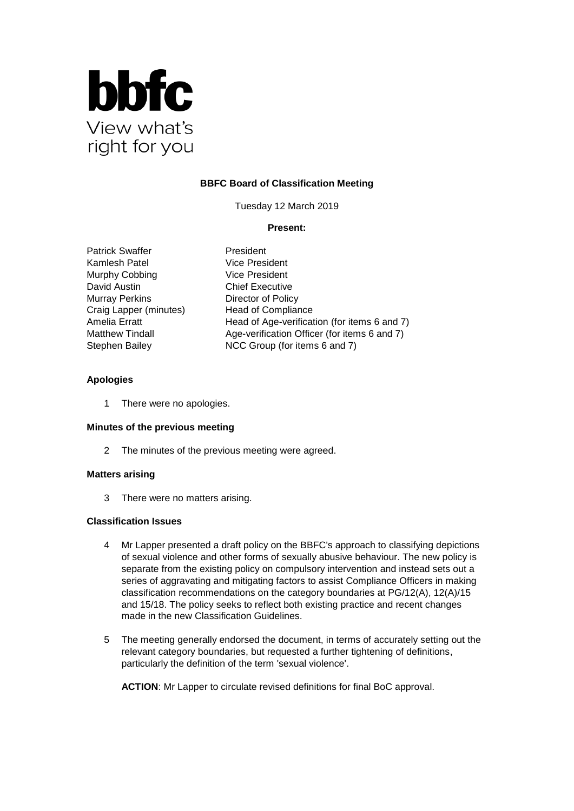

### **BBFC Board of Classification Meeting**

Tuesday 12 March 2019

### **Present:**

Patrick Swaffer President Kamlesh Patel Vice President Murphy Cobbing Vice President David Austin **Chief Executive** Murray Perkins Director of Policy Craig Lapper (minutes) Head of Compliance

Amelia Erratt Head of Age-verification (for items 6 and 7) Matthew Tindall Age-verification Officer (for items 6 and 7) Stephen Bailey NCC Group (for items 6 and 7)

### **Apologies**

1 There were no apologies.

#### **Minutes of the previous meeting**

2 The minutes of the previous meeting were agreed.

#### **Matters arising**

3 There were no matters arising.

#### **Classification Issues**

- 4 Mr Lapper presented a draft policy on the BBFC's approach to classifying depictions of sexual violence and other forms of sexually abusive behaviour. The new policy is separate from the existing policy on compulsory intervention and instead sets out a series of aggravating and mitigating factors to assist Compliance Officers in making classification recommendations on the category boundaries at PG/12(A), 12(A)/15 and 15/18. The policy seeks to reflect both existing practice and recent changes made in the new Classification Guidelines.
- 5 The meeting generally endorsed the document, in terms of accurately setting out the relevant category boundaries, but requested a further tightening of definitions, particularly the definition of the term 'sexual violence'.

**ACTION**: Mr Lapper to circulate revised definitions for final BoC approval.